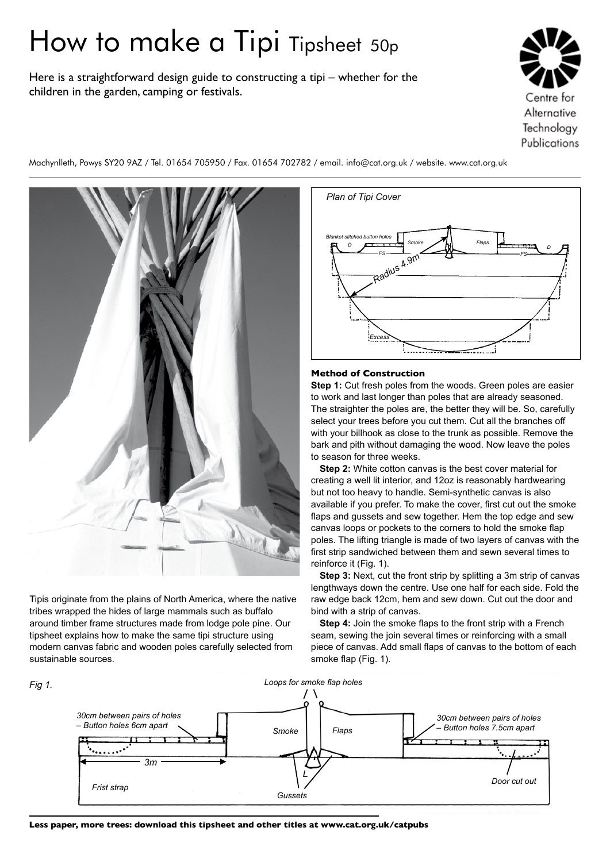# How to make a Tipi Tipsheet 50p

Here is a straightforward design guide to constructing a tipi – whether for the children in the garden, camping or festivals.

Machynlleth, Powys SY20 9AZ / Tel. 01654 705950 / Fax. 01654 702782 / email. info@cat.org.uk / website. www.cat.org.uk



Tipis originate from the plains of North America, where the native tribes wrapped the hides of large mammals such as buffalo around timber frame structures made from lodge pole pine. Our tipsheet explains how to make the same tipi structure using modern canvas fabric and wooden poles carefully selected from sustainable sources.



## **Method of Construction**

**Step 1:** Cut fresh poles from the woods. Green poles are easier to work and last longer than poles that are already seasoned. The straighter the poles are, the better they will be. So, carefully select your trees before you cut them. Cut all the branches off with your billhook as close to the trunk as possible. Remove the bark and pith without damaging the wood. Now leave the poles to season for three weeks.

**Step 2:** White cotton canvas is the best cover material for creating a well lit interior, and 12oz is reasonably hardwearing but not too heavy to handle. Semi-synthetic canvas is also available if you prefer. To make the cover, first cut out the smoke flaps and gussets and sew together. Hem the top edge and sew canvas loops or pockets to the corners to hold the smoke flap poles. The lifting triangle is made of two layers of canvas with the first strip sandwiched between them and sewn several times to reinforce it (Fig. 1).

**Step 3:** Next, cut the front strip by splitting a 3m strip of canvas lengthways down the centre. Use one half for each side. Fold the raw edge back 12cm, hem and sew down. Cut out the door and bind with a strip of canvas.

**Step 4:** Join the smoke flaps to the front strip with a French seam, sewing the join several times or reinforcing with a small piece of canvas. Add small flaps of canvas to the bottom of each smoke flap (Fig. 1).



**Less paper, more trees: download this tipsheet and other titles at www.cat.org.uk/catpubs**